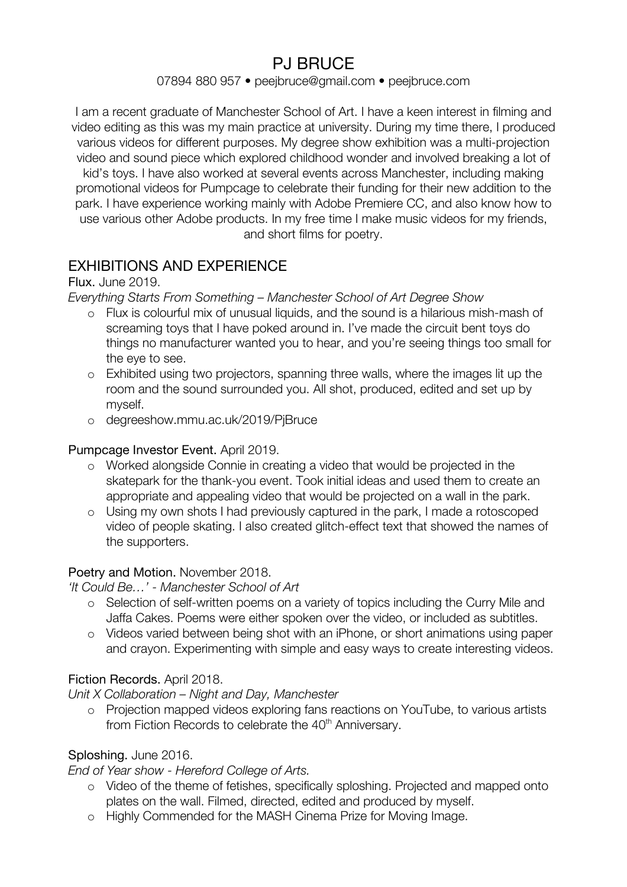# PJ BRUCE

#### 07894 880 957 • peejbruce@gmail.com • peejbruce.com

I am a recent graduate of Manchester School of Art. I have a keen interest in filming and video editing as this was my main practice at university. During my time there, I produced various videos for different purposes. My degree show exhibition was a multi-projection video and sound piece which explored childhood wonder and involved breaking a lot of kid's toys. I have also worked at several events across Manchester, including making promotional videos for Pumpcage to celebrate their funding for their new addition to the park. I have experience working mainly with Adobe Premiere CC, and also know how to use various other Adobe products. In my free time I make music videos for my friends, and short films for poetry.

# EXHIBITIONS AND EXPERIENCE

## Flux. June 2019.

*Everything Starts From Something – Manchester School of Art Degree Show*

- o Flux is colourful mix of unusual liquids, and the sound is a hilarious mish-mash of screaming toys that I have poked around in. I've made the circuit bent toys do things no manufacturer wanted you to hear, and you're seeing things too small for the eye to see.
- o Exhibited using two projectors, spanning three walls, where the images lit up the room and the sound surrounded you. All shot, produced, edited and set up by myself.
- o degreeshow.mmu.ac.uk/2019/PjBruce

## Pumpcage Investor Event. April 2019.

- o Worked alongside Connie in creating a video that would be projected in the skatepark for the thank-you event. Took initial ideas and used them to create an appropriate and appealing video that would be projected on a wall in the park.
- o Using my own shots I had previously captured in the park, I made a rotoscoped video of people skating. I also created glitch-effect text that showed the names of the supporters.

## Poetry and Motion. November 2018.

*'It Could Be…' - Manchester School of Art*

- o Selection of self-written poems on a variety of topics including the Curry Mile and Jaffa Cakes. Poems were either spoken over the video, or included as subtitles.
- o Videos varied between being shot with an iPhone, or short animations using paper and crayon. Experimenting with simple and easy ways to create interesting videos.

## Fiction Records. April 2018.

*Unit X Collaboration – Night and Day, Manchester*

o Projection mapped videos exploring fans reactions on YouTube, to various artists from Fiction Records to celebrate the 40<sup>th</sup> Anniversary.

## Sploshing. June 2016.

*End of Year show - Hereford College of Arts.* 

- o Video of the theme of fetishes, specifically sploshing. Projected and mapped onto plates on the wall. Filmed, directed, edited and produced by myself.
- o Highly Commended for the MASH Cinema Prize for Moving Image.